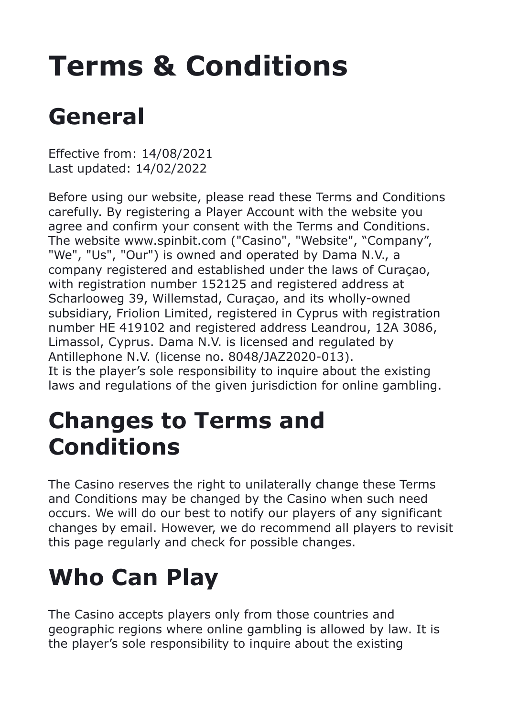# **Terms & Conditions**

## **General**

Effective from: 14/08/2021 Last updated: 14/02/2022

Before using our website, please read these Terms and Conditions carefully. By registering a Player Account with the website you agree and confirm your consent with the Terms and Conditions. The website www.spinbit.com ("Casino", "Website", "Company", "We", "Us", "Our") is owned and operated by Dama N.V., a company registered and established under the laws of Curaçao, with registration number 152125 and registered address at Scharlooweg 39, Willemstad, Curaçao, and its wholly-owned subsidiary, Friolion Limited, registered in Cyprus with registration number HE 419102 and registered address Leandrou, 12A 3086, Limassol, Сyprus. Dama N.V. is licensed and regulated by Antillephone N.V. (license no. 8048/JAZ2020-013). It is the player's sole responsibility to inquire about the existing laws and regulations of the given jurisdiction for online gambling.

#### **Changes to Terms and Conditions**

The Casino reserves the right to unilaterally change these Terms and Conditions may be changed by the Casino when such need occurs. We will do our best to notify our players of any significant changes by email. However, we do recommend all players to revisit this page regularly and check for possible changes.

#### **Who Can Play**

The Casino accepts players only from those countries and geographic regions where online gambling is allowed by law. It is the player's sole responsibility to inquire about the existing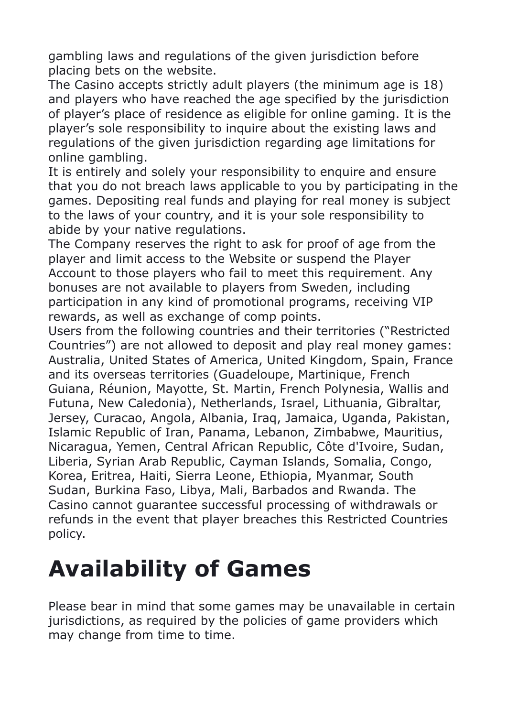gambling laws and regulations of the given jurisdiction before placing bets on the website.

The Casino accepts strictly adult players (the minimum age is 18) and players who have reached the age specified by the jurisdiction of player's place of residence as eligible for online gaming. It is the player's sole responsibility to inquire about the existing laws and regulations of the given jurisdiction regarding age limitations for online gambling.

It is entirely and solely your responsibility to enquire and ensure that you do not breach laws applicable to you by participating in the games. Depositing real funds and playing for real money is subject to the laws of your country, and it is your sole responsibility to abide by your native regulations.

The Company reserves the right to ask for proof of age from the player and limit access to the Website or suspend the Player Account to those players who fail to meet this requirement. Any bonuses are not available to players from Sweden, including participation in any kind of promotional programs, receiving VIP rewards, as well as exchange of comp points.

Users from the following countries and their territories ("Restricted Countries") are not allowed to deposit and play real money games: Australia, United States of America, United Kingdom, Spain, France and its overseas territories (Guadeloupe, Martinique, French Guiana, Réunion, Mayotte, St. Martin, French Polynesia, Wallis and Futuna, New Caledonia), Netherlands, Israel, Lithuania, Gibraltar, Jersey, Curacao, Angola, Albania, Iraq, Jamaica, Uganda, Pakistan, Islamic Republic of Iran, Panama, Lebanon, Zimbabwe, Mauritius, Nicaragua, Yemen, Central African Republic, Côte d'Ivoire, Sudan, Liberia, Syrian Arab Republic, Cayman Islands, Somalia, Congo, Korea, Eritrea, Haiti, Sierra Leone, Ethiopia, Myanmar, South Sudan, Burkina Faso, Libya, Mali, Barbados and Rwanda. The Casino cannot guarantee successful processing of withdrawals or refunds in the event that player breaches this Restricted Countries policy.

#### **Availability of Games**

Please bear in mind that some games may be unavailable in certain jurisdictions, as required by the policies of game providers which may change from time to time.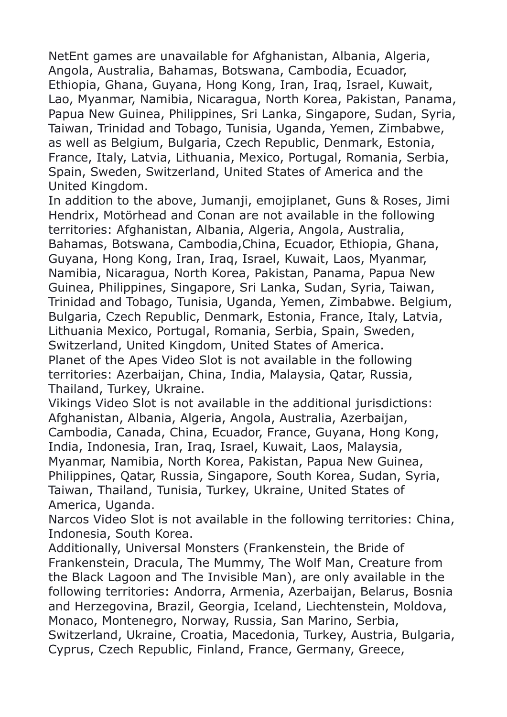NetEnt games are unavailable for Afghanistan, Albania, Algeria, Angola, Australia, Bahamas, Botswana, Cambodia, Ecuador, Ethiopia, Ghana, Guyana, Hong Kong, Iran, Iraq, Israel, Kuwait, Lao, Myanmar, Namibia, Nicaragua, North Korea, Pakistan, Panama, Papua New Guinea, Philippines, Sri Lanka, Singapore, Sudan, Syria, Taiwan, Trinidad and Tobago, Tunisia, Uganda, Yemen, Zimbabwe, as well as Belgium, Bulgaria, Czech Republic, Denmark, Estonia, France, Italy, Latvia, Lithuania, Mexico, Portugal, Romania, Serbia, Spain, Sweden, Switzerland, United States of America and the United Kingdom.

In addition to the above, Jumanji, emojiplanet, Guns & Roses, Jimi Hendrix, Motörhead and Conan are not available in the following territories: Afghanistan, Albania, Algeria, Angola, Australia, Bahamas, Botswana, Cambodia,China, Ecuador, Ethiopia, Ghana, Guyana, Hong Kong, Iran, Iraq, Israel, Kuwait, Laos, Myanmar, Namibia, Nicaragua, North Korea, Pakistan, Panama, Papua New Guinea, Philippines, Singapore, Sri Lanka, Sudan, Syria, Taiwan, Trinidad and Tobago, Tunisia, Uganda, Yemen, Zimbabwe. Belgium, Bulgaria, Czech Republic, Denmark, Estonia, France, Italy, Latvia, Lithuania Mexico, Portugal, Romania, Serbia, Spain, Sweden, Switzerland, United Kingdom, United States of America. Planet of the Apes Video Slot is not available in the following territories: Azerbaijan, China, India, Malaysia, Qatar, Russia, Thailand, Turkey, Ukraine.

Vikings Video Slot is not available in the additional jurisdictions: Afghanistan, Albania, Algeria, Angola, Australia, Azerbaijan, Cambodia, Canada, China, Ecuador, France, Guyana, Hong Kong, India, Indonesia, Iran, Iraq, Israel, Kuwait, Laos, Malaysia, Myanmar, Namibia, North Korea, Pakistan, Papua New Guinea, Philippines, Qatar, Russia, Singapore, South Korea, Sudan, Syria, Taiwan, Thailand, Tunisia, Turkey, Ukraine, United States of America, Uganda.

Narcos Video Slot is not available in the following territories: China, Indonesia, South Korea.

Additionally, Universal Monsters (Frankenstein, the Bride of Frankenstein, Dracula, The Mummy, The Wolf Man, Creature from the Black Lagoon and The Invisible Man), are only available in the following territories: Andorra, Armenia, Azerbaijan, Belarus, Bosnia and Herzegovina, Brazil, Georgia, Iceland, Liechtenstein, Moldova, Monaco, Montenegro, Norway, Russia, San Marino, Serbia, Switzerland, Ukraine, Croatia, Macedonia, Turkey, Austria, Bulgaria, Cyprus, Czech Republic, Finland, France, Germany, Greece,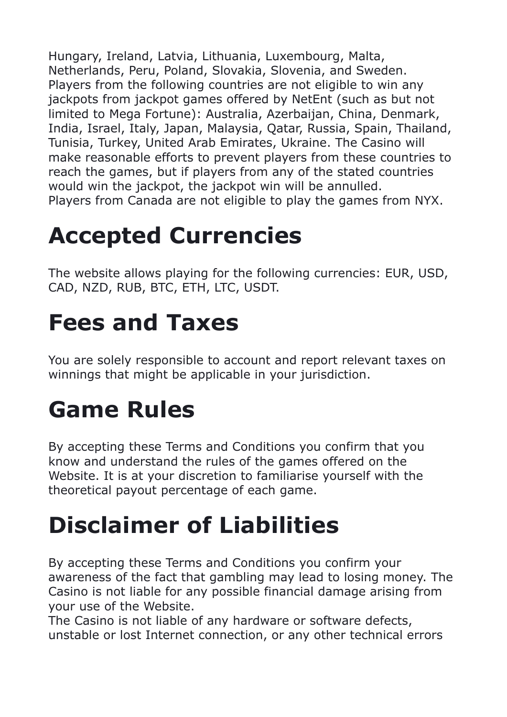Hungary, Ireland, Latvia, Lithuania, Luxembourg, Malta, Netherlands, Peru, Poland, Slovakia, Slovenia, and Sweden. Players from the following countries are not eligible to win any jackpots from jackpot games offered by NetEnt (such as but not limited to Mega Fortune): Australia, Azerbaijan, China, Denmark, India, Israel, Italy, Japan, Malaysia, Qatar, Russia, Spain, Thailand, Tunisia, Turkey, United Arab Emirates, Ukraine. The Casino will make reasonable efforts to prevent players from these countries to reach the games, but if players from any of the stated countries would win the jackpot, the jackpot win will be annulled. Players from Canada are not eligible to play the games from NYX.

## **Accepted Currencies**

The website allows playing for the following currencies: EUR, USD, CAD, NZD, RUB, BTC, ETH, LTC, USDT.

#### **Fees and Taxes**

You are solely responsible to account and report relevant taxes on winnings that might be applicable in your jurisdiction.

#### **Game Rules**

By accepting these Terms and Conditions you confirm that you know and understand the rules of the games offered on the Website. It is at your discretion to familiarise yourself with the theoretical payout percentage of each game.

## **Disclaimer of Liabilities**

By accepting these Terms and Conditions you confirm your awareness of the fact that gambling may lead to losing money. The Casino is not liable for any possible financial damage arising from your use of the Website.

The Casino is not liable of any hardware or software defects, unstable or lost Internet connection, or any other technical errors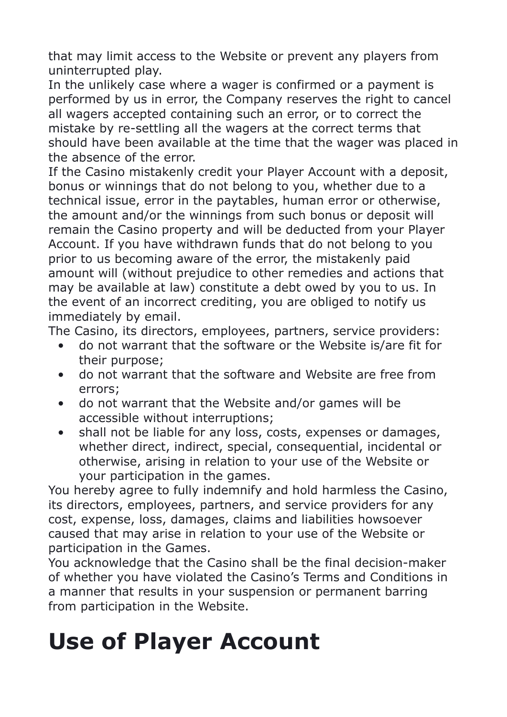that may limit access to the Website or prevent any players from uninterrupted play.

In the unlikely case where a wager is confirmed or a payment is performed by us in error, the Company reserves the right to cancel all wagers accepted containing such an error, or to correct the mistake by re-settling all the wagers at the correct terms that should have been available at the time that the wager was placed in the absence of the error.

If the Casino mistakenly credit your Player Account with a deposit, bonus or winnings that do not belong to you, whether due to a technical issue, error in the paytables, human error or otherwise, the amount and/or the winnings from such bonus or deposit will remain the Casino property and will be deducted from your Player Account. If you have withdrawn funds that do not belong to you prior to us becoming aware of the error, the mistakenly paid amount will (without prejudice to other remedies and actions that may be available at law) constitute a debt owed by you to us. In the event of an incorrect crediting, you are obliged to notify us immediately by email.

The Casino, its directors, employees, partners, service providers:

- do not warrant that the software or the Website is/are fit for their purpose;
- do not warrant that the software and Website are free from errors;
- do not warrant that the Website and/or games will be accessible without interruptions;
- shall not be liable for any loss, costs, expenses or damages, whether direct, indirect, special, consequential, incidental or otherwise, arising in relation to your use of the Website or your participation in the games.

You hereby agree to fully indemnify and hold harmless the Casino, its directors, employees, partners, and service providers for any cost, expense, loss, damages, claims and liabilities howsoever caused that may arise in relation to your use of the Website or participation in the Games.

You acknowledge that the Casino shall be the final decision-maker of whether you have violated the Casino's Terms and Conditions in a manner that results in your suspension or permanent barring from participation in the Website.

#### **Use of Player Account**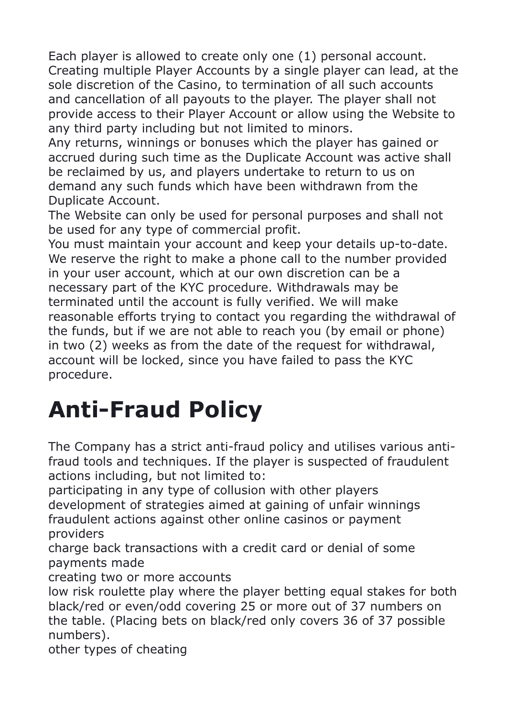Each player is allowed to create only one (1) personal account. Creating multiple Player Accounts by a single player can lead, at the sole discretion of the Casino, to termination of all such accounts and cancellation of all payouts to the player. The player shall not provide access to their Player Account or allow using the Website to any third party including but not limited to minors.

Any returns, winnings or bonuses which the player has gained or accrued during such time as the Duplicate Account was active shall be reclaimed by us, and players undertake to return to us on demand any such funds which have been withdrawn from the Duplicate Account.

The Website can only be used for personal purposes and shall not be used for any type of commercial profit.

You must maintain your account and keep your details up-to-date. We reserve the right to make a phone call to the number provided in your user account, which at our own discretion can be a necessary part of the KYC procedure. Withdrawals may be terminated until the account is fully verified. We will make reasonable efforts trying to contact you regarding the withdrawal of the funds, but if we are not able to reach you (by email or phone) in two (2) weeks as from the date of the request for withdrawal, account will be locked, since you have failed to pass the KYC procedure.

#### **Anti-Fraud Policy**

The Company has a strict anti-fraud policy and utilises various antifraud tools and techniques. If the player is suspected of fraudulent actions including, but not limited to:

participating in any type of collusion with other players development of strategies aimed at gaining of unfair winnings fraudulent actions against other online casinos or payment providers

charge back transactions with a credit card or denial of some payments made

creating two or more accounts

low risk roulette play where the player betting equal stakes for both black/red or even/odd covering 25 or more out of 37 numbers on the table. (Placing bets on black/red only covers 36 of 37 possible numbers).

other types of cheating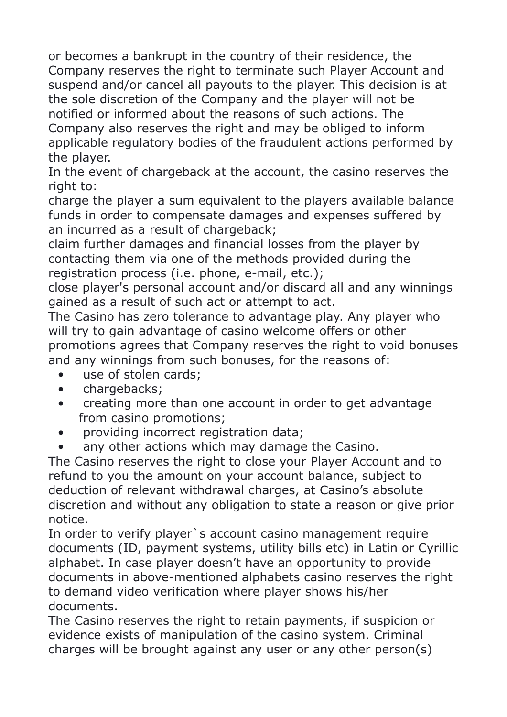or becomes a bankrupt in the country of their residence, the Company reserves the right to terminate such Player Account and suspend and/or cancel all payouts to the player. This decision is at the sole discretion of the Company and the player will not be notified or informed about the reasons of such actions. The Company also reserves the right and may be obliged to inform applicable regulatory bodies of the fraudulent actions performed by the player.

In the event of chargeback at the account, the casino reserves the right to:

charge the player a sum equivalent to the players available balance funds in order to compensate damages and expenses suffered by an incurred as a result of chargeback;

claim further damages and financial losses from the player by contacting them via one of the methods provided during the registration process (i.e. phone, e-mail, etc.);

close player's personal account and/or discard all and any winnings gained as a result of such act or attempt to act.

The Casino has zero tolerance to advantage play. Any player who will try to gain advantage of casino welcome offers or other promotions agrees that Company reserves the right to void bonuses and any winnings from such bonuses, for the reasons of:

- use of stolen cards;
- chargebacks:
- creating more than one account in order to get advantage from casino promotions;
- providing incorrect registration data;
- any other actions which may damage the Casino.

The Casino reserves the right to close your Player Account and to refund to you the amount on your account balance, subject to deduction of relevant withdrawal charges, at Casino's absolute discretion and without any obligation to state a reason or give prior notice.

In order to verify player`s account casino management require documents (ID, payment systems, utility bills еtc) in Latin or Cyrillic alphabet. In case player doesn't have an opportunity to provide documents in above-mentioned alphabets casino reserves the right to demand video verification where player shows his/her documents.

The Casino reserves the right to retain payments, if suspicion or evidence exists of manipulation of the casino system. Criminal charges will be brought against any user or any other person(s)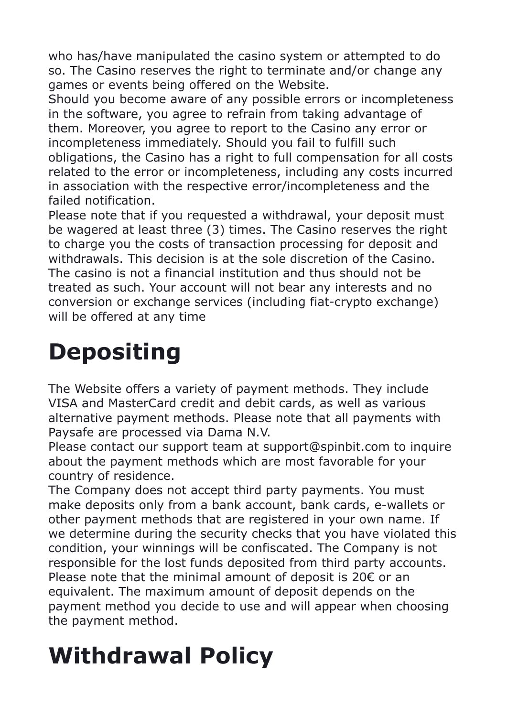who has/have manipulated the casino system or attempted to do so. The Casino reserves the right to terminate and/or change any games or events being offered on the Website.

Should you become aware of any possible errors or incompleteness in the software, you agree to refrain from taking advantage of them. Moreover, you agree to report to the Casino any error or incompleteness immediately. Should you fail to fulfill such obligations, the Casino has a right to full compensation for all costs related to the error or incompleteness, including any costs incurred in association with the respective error/incompleteness and the failed notification.

Please note that if you requested a withdrawal, your deposit must be wagered at least three (3) times. The Casino reserves the right to charge you the costs of transaction processing for deposit and withdrawals. This decision is at the sole discretion of the Casino. The casino is not a financial institution and thus should not be treated as such. Your account will not bear any interests and no conversion or exchange services (including fiat-crypto exchange) will be offered at any time

### **Depositing**

The Website offers a variety of payment methods. They include VISA and MasterCard credit and debit cards, as well as various alternative payment methods. Please note that all payments with Paysafe are processed via Dama N.V.

Please contact our support team at support@spinbit.com to inquire about the payment methods which are most favorable for your country of residence.

The Company does not accept third party payments. You must make deposits only from a bank account, bank cards, e-wallets or other payment methods that are registered in your own name. If we determine during the security checks that you have violated this condition, your winnings will be confiscated. The Company is not responsible for the lost funds deposited from third party accounts. Please note that the minimal amount of deposit is 20€ or an equivalent. The maximum amount of deposit depends on the payment method you decide to use and will appear when choosing the payment method.

## **Withdrawal Policy**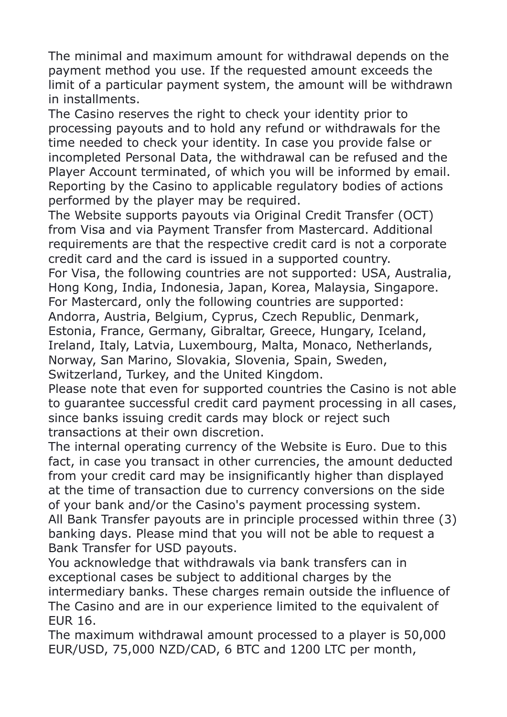The minimal and maximum amount for withdrawal depends on the payment method you use. If the requested amount exceeds the limit of a particular payment system, the amount will be withdrawn in installments.

The Casino reserves the right to check your identity prior to processing payouts and to hold any refund or withdrawals for the time needed to check your identity. In case you provide false or incompleted Personal Data, the withdrawal can be refused and the Player Account terminated, of which you will be informed by email. Reporting by the Casino to applicable regulatory bodies of actions performed by the player may be required.

The Website supports payouts via Original Credit Transfer (OCT) from Visa and via Payment Transfer from Mastercard. Additional requirements are that the respective credit card is not a corporate credit card and the card is issued in a supported country. For Visa, the following countries are not supported: USA, Australia, Hong Kong, India, Indonesia, Japan, Korea, Malaysia, Singapore. For Mastercard, only the following countries are supported: Andorra, Austria, Belgium, Cyprus, Czech Republic, Denmark, Estonia, France, Germany, Gibraltar, Greece, Hungary, Iceland, Ireland, Italy, Latvia, Luxembourg, Malta, Monaco, Netherlands, Norway, San Marino, Slovakia, Slovenia, Spain, Sweden, Switzerland, Turkey, and the United Kingdom.

Please note that even for supported countries the Casino is not able to guarantee successful credit card payment processing in all cases, since banks issuing credit cards may block or reject such transactions at their own discretion.

The internal operating currency of the Website is Euro. Due to this fact, in case you transact in other currencies, the amount deducted from your credit card may be insignificantly higher than displayed at the time of transaction due to currency conversions on the side of your bank and/or the Casino's payment processing system. All Bank Transfer payouts are in principle processed within three (3) banking days. Please mind that you will not be able to request a Bank Transfer for USD payouts.

You acknowledge that withdrawals via bank transfers can in exceptional cases be subject to additional charges by the intermediary banks. These charges remain outside the influence of The Casino and are in our experience limited to the equivalent of EUR 16.

The maximum withdrawal amount processed to a player is 50,000 EUR/USD, 75,000 NZD/CAD, 6 BTC and 1200 LTC per month,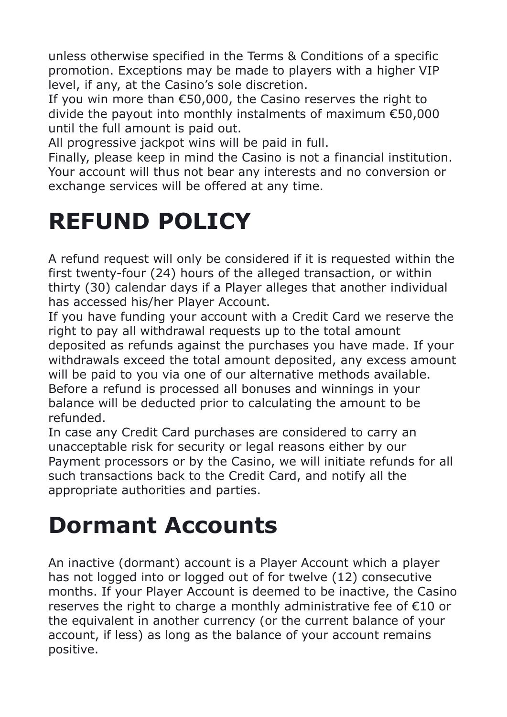unless otherwise specified in the Terms & Conditions of a specific promotion. Exceptions may be made to players with a higher VIP level, if any, at the Casino's sole discretion.

If you win more than €50,000, the Casino reserves the right to divide the payout into monthly instalments of maximum €50,000 until the full amount is paid out.

All progressive jackpot wins will be paid in full.

Finally, please keep in mind the Casino is not a financial institution. Your account will thus not bear any interests and no conversion or exchange services will be offered at any time.

#### **REFUND POLICY**

A refund request will only be considered if it is requested within the first twenty-four (24) hours of the alleged transaction, or within thirty (30) calendar days if a Player alleges that another individual has accessed his/her Player Account.

If you have funding your account with a Credit Card we reserve the right to pay all withdrawal requests up to the total amount deposited as refunds against the purchases you have made. If your withdrawals exceed the total amount deposited, any excess amount will be paid to you via one of our alternative methods available. Before a refund is processed all bonuses and winnings in your balance will be deducted prior to calculating the amount to be refunded.

In case any Credit Card purchases are considered to carry an unacceptable risk for security or legal reasons either by our Payment processors or by the Casino, we will initiate refunds for all such transactions back to the Сredit Сard, and notify all the appropriate authorities and parties.

#### **Dormant Accounts**

An inactive (dormant) account is a Player Account which a player has not logged into or logged out of for twelve (12) consecutive months. If your Player Account is deemed to be inactive, the Casino reserves the right to charge a monthly administrative fee of €10 or the equivalent in another currency (or the current balance of your account, if less) as long as the balance of your account remains positive.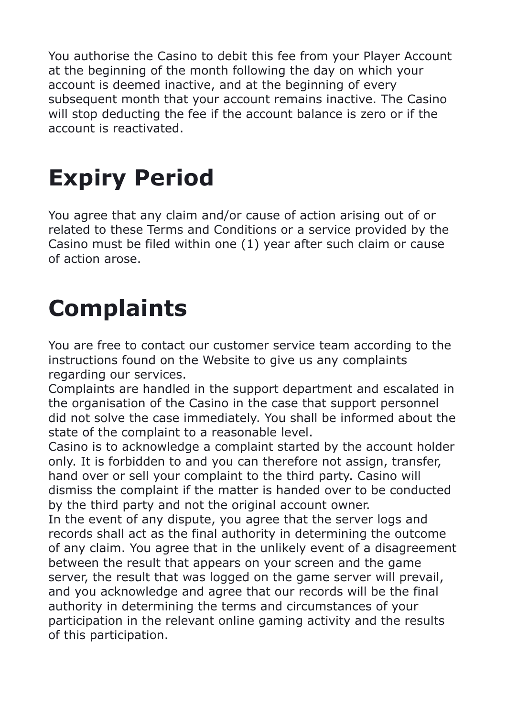You authorise the Casino to debit this fee from your Player Account at the beginning of the month following the day on which your account is deemed inactive, and at the beginning of every subsequent month that your account remains inactive. The Casino will stop deducting the fee if the account balance is zero or if the account is reactivated.

## **Expiry Period**

You agree that any claim and/or cause of action arising out of or related to these Terms and Conditions or a service provided by the Casino must be filed within one (1) year after such claim or cause of action arose.

#### **Complaints**

You are free to contact our customer service team according to the instructions found on the Website to give us any complaints regarding our services.

Complaints are handled in the support department and escalated in the organisation of the Casino in the case that support personnel did not solve the case immediately. You shall be informed about the state of the complaint to a reasonable level.

Casino is to acknowledge a complaint started by the account holder only. It is forbidden to and you can therefore not assign, transfer, hand over or sell your complaint to the third party. Casino will dismiss the complaint if the matter is handed over to be conducted by the third party and not the original account owner.

In the event of any dispute, you agree that the server logs and records shall act as the final authority in determining the outcome of any claim. You agree that in the unlikely event of a disagreement between the result that appears on your screen and the game server, the result that was logged on the game server will prevail, and you acknowledge and agree that our records will be the final authority in determining the terms and circumstances of your participation in the relevant online gaming activity and the results of this participation.